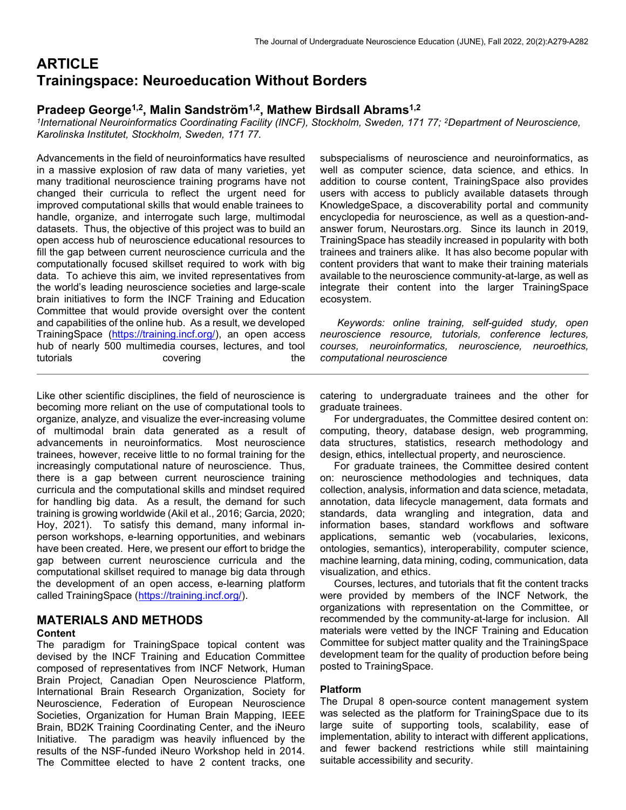# **ARTICLE** Trainingspace: Neuroeducation Without Borders

# Pradeep George<sup>1,2</sup>, Malin Sandström<sup>1,2</sup>, Mathew Birdsall Abrams<sup>1,2</sup>

1 International Neuroinformatics Coordinating Facility (INCF), Stockholm, Sweden, 171 77; <sup>2</sup>Department of Neuroscience, Karolinska Institutet, Stockholm, Sweden, 171 77.

Advancements in the field of neuroinformatics have resulted in a massive explosion of raw data of many varieties, yet many traditional neuroscience training programs have not changed their curricula to reflect the urgent need for improved computational skills that would enable trainees to handle, organize, and interrogate such large, multimodal datasets. Thus, the objective of this project was to build an open access hub of neuroscience educational resources to fill the gap between current neuroscience curricula and the computationally focused skillset required to work with big data. To achieve this aim, we invited representatives from the world's leading neuroscience societies and large-scale brain initiatives to form the INCF Training and Education Committee that would provide oversight over the content and capabilities of the online hub. As a result, we developed TrainingSpace (https://training.incf.org/), an open access hub of nearly 500 multimedia courses, lectures, and tool tutorials covering the the subspecialisms of neuroscience and neuroinformatics, as well as computer science, data science, and ethics. In addition to course content, TrainingSpace also provides users with access to publicly available datasets through KnowledgeSpace, a discoverability portal and community encyclopedia for neuroscience, as well as a question-andanswer forum, Neurostars.org. Since its launch in 2019, TrainingSpace has steadily increased in popularity with both trainees and trainers alike. It has also become popular with content providers that want to make their training materials available to the neuroscience community-at-large, as well as integrate their content into the larger TrainingSpace ecosystem.

 Keywords: online training, self-guided study, open neuroscience resource, tutorials, conference lectures, courses, neuroinformatics, neuroscience, neuroethics, computational neuroscience

Like other scientific disciplines, the field of neuroscience is becoming more reliant on the use of computational tools to organize, analyze, and visualize the ever-increasing volume of multimodal brain data generated as a result of advancements in neuroinformatics. Most neuroscience trainees, however, receive little to no formal training for the increasingly computational nature of neuroscience. Thus, there is a gap between current neuroscience training curricula and the computational skills and mindset required for handling big data. As a result, the demand for such training is growing worldwide (Akil et al., 2016; Garcia, 2020; Hoy, 2021). To satisfy this demand, many informal inperson workshops, e-learning opportunities, and webinars have been created. Here, we present our effort to bridge the gap between current neuroscience curricula and the computational skillset required to manage big data through the development of an open access, e-learning platform called TrainingSpace (https://training.incf.org/).

# MATERIALS AND METHODS

## Content

The paradigm for TrainingSpace topical content was devised by the INCF Training and Education Committee composed of representatives from INCF Network, Human Brain Project, Canadian Open Neuroscience Platform, International Brain Research Organization, Society for Neuroscience, Federation of European Neuroscience Societies, Organization for Human Brain Mapping, IEEE Brain, BD2K Training Coordinating Center, and the iNeuro Initiative. The paradigm was heavily influenced by the results of the NSF-funded iNeuro Workshop held in 2014. The Committee elected to have 2 content tracks, one catering to undergraduate trainees and the other for graduate trainees.

 For undergraduates, the Committee desired content on: computing, theory, database design, web programming, data structures, statistics, research methodology and design, ethics, intellectual property, and neuroscience.

 For graduate trainees, the Committee desired content on: neuroscience methodologies and techniques, data collection, analysis, information and data science, metadata, annotation, data lifecycle management, data formats and standards, data wrangling and integration, data and information bases, standard workflows and software applications, semantic web (vocabularies, lexicons, ontologies, semantics), interoperability, computer science, machine learning, data mining, coding, communication, data visualization, and ethics.

 Courses, lectures, and tutorials that fit the content tracks were provided by members of the INCF Network, the organizations with representation on the Committee, or recommended by the community-at-large for inclusion. All materials were vetted by the INCF Training and Education Committee for subject matter quality and the TrainingSpace development team for the quality of production before being posted to TrainingSpace.

# Platform

The Drupal 8 open-source content management system was selected as the platform for TrainingSpace due to its large suite of supporting tools, scalability, ease of implementation, ability to interact with different applications, and fewer backend restrictions while still maintaining suitable accessibility and security.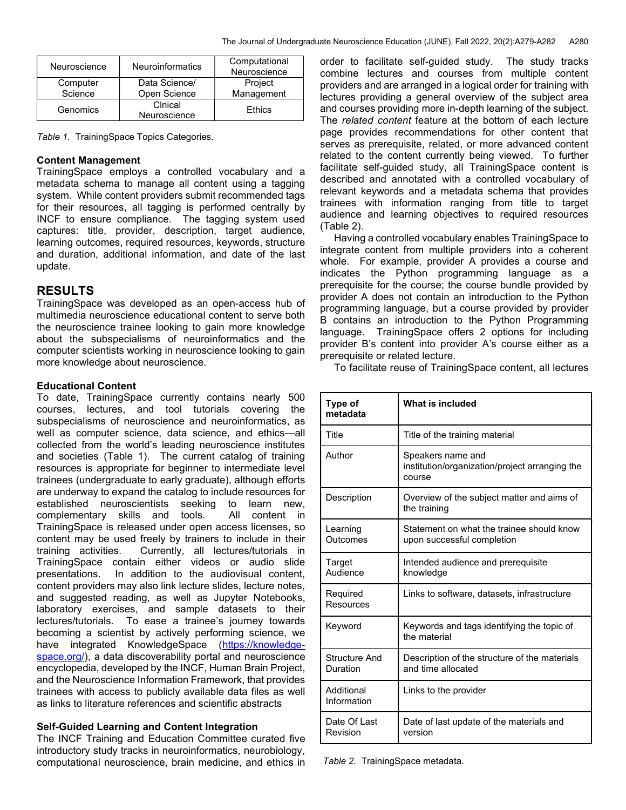| Neuroscience | <b>Neuroinformatics</b> | Computational<br>Neuroscience |
|--------------|-------------------------|-------------------------------|
| Computer     | Data Science/           | Project                       |
| Science      | Open Science            | Management                    |
| Genomics     | Cinical<br>Neuroscience | <b>Fthics</b>                 |

Table 1. TrainingSpace Topics Categories.

### Content Management

TrainingSpace employs a controlled vocabulary and a metadata schema to manage all content using a tagging system. While content providers submit recommended tags for their resources, all tagging is performed centrally by INCF to ensure compliance. The tagging system used captures: title, provider, description, target audience, learning outcomes, required resources, keywords, structure and duration, additional information, and date of the last update.

# RESULTS

TrainingSpace was developed as an open-access hub of multimedia neuroscience educational content to serve both the neuroscience trainee looking to gain more knowledge about the subspecialisms of neuroinformatics and the computer scientists working in neuroscience looking to gain more knowledge about neuroscience.

#### Educational Content

To date, TrainingSpace currently contains nearly 500 courses, lectures, and tool tutorials covering the subspecialisms of neuroscience and neuroinformatics, as well as computer science, data science, and ethics—all collected from the world's leading neuroscience institutes and societies (Table 1). The current catalog of training resources is appropriate for beginner to intermediate level trainees (undergraduate to early graduate), although efforts are underway to expand the catalog to include resources for established neuroscientists seeking to learn new, complementary skills and tools. All content in TrainingSpace is released under open access licenses, so content may be used freely by trainers to include in their training activities. Currently, all lectures/tutorials in TrainingSpace contain either videos or audio slide presentations. In addition to the audiovisual content, content providers may also link lecture slides, lecture notes, and suggested reading, as well as Jupyter Notebooks, laboratory exercises, and sample datasets to their lectures/tutorials. To ease a trainee's journey towards becoming a scientist by actively performing science, we have integrated KnowledgeSpace (https://knowledgespace.org/), a data discoverability portal and neuroscience encyclopedia, developed by the INCF, Human Brain Project, and the Neuroscience Information Framework, that provides trainees with access to publicly available data files as well as links to literature references and scientific abstracts

### Self-Guided Learning and Content Integration

The INCF Training and Education Committee curated five introductory study tracks in neuroinformatics, neurobiology, computational neuroscience, brain medicine, and ethics in

order to facilitate self-guided study. The study tracks combine lectures and courses from multiple content providers and are arranged in a logical order for training with lectures providing a general overview of the subject area and courses providing more in-depth learning of the subject. The *related content* feature at the bottom of each lecture page provides recommendations for other content that serves as prerequisite, related, or more advanced content related to the content currently being viewed. To further facilitate self-guided study, all TrainingSpace content is described and annotated with a controlled vocabulary of relevant keywords and a metadata schema that provides trainees with information ranging from title to target audience and learning objectives to required resources (Table 2).

 Having a controlled vocabulary enables TrainingSpace to integrate content from multiple providers into a coherent whole. For example, provider A provides a course and indicates the Python programming language as a prerequisite for the course; the course bundle provided by provider A does not contain an introduction to the Python programming language, but a course provided by provider B contains an introduction to the Python Programming language. TrainingSpace offers 2 options for including provider B's content into provider A's course either as a prerequisite or related lecture.

To facilitate reuse of TrainingSpace content, all lectures

| <b>Type of</b><br>metadata | What is included                                                              |  |
|----------------------------|-------------------------------------------------------------------------------|--|
| Title                      | Title of the training material                                                |  |
| Author                     | Speakers name and<br>institution/organization/project arranging the<br>course |  |
| Description                | Overview of the subject matter and aims of<br>the training                    |  |
| Learning<br>Outcomes       | Statement on what the trainee should know<br>upon successful completion       |  |
| Target<br>Audience         | Intended audience and prerequisite<br>knowledge                               |  |
| Required<br>Resources      | Links to software, datasets, infrastructure                                   |  |
| Keyword                    | Keywords and tags identifying the topic of<br>the material                    |  |
| Structure And<br>Duration  | Description of the structure of the materials<br>and time allocated           |  |
| Additional<br>Information  | Links to the provider                                                         |  |
| Date Of Last<br>Revision   | Date of last update of the materials and<br>version                           |  |

Table 2. TrainingSpace metadata.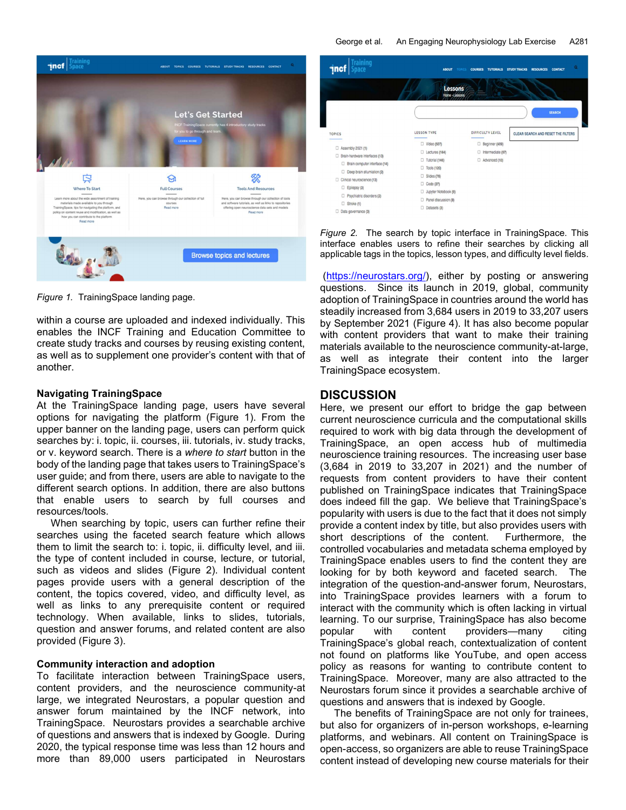

Figure 1. TrainingSpace landing page.

within a course are uploaded and indexed individually. This enables the INCF Training and Education Committee to create study tracks and courses by reusing existing content, as well as to supplement one provider's content with that of another.

## Navigating TrainingSpace

At the TrainingSpace landing page, users have several options for navigating the platform (Figure 1). From the upper banner on the landing page, users can perform quick searches by: i. topic, ii. courses, iii. tutorials, iv. study tracks, or v. keyword search. There is a where to start button in the body of the landing page that takes users to TrainingSpace's user guide; and from there, users are able to navigate to the different search options. In addition, there are also buttons that enable users to search by full courses and resources/tools.

 When searching by topic, users can further refine their searches using the faceted search feature which allows them to limit the search to: i. topic, ii. difficulty level, and iii. the type of content included in course, lecture, or tutorial, such as videos and slides (Figure 2). Individual content pages provide users with a general description of the content, the topics covered, video, and difficulty level, as well as links to any prerequisite content or required technology. When available, links to slides, tutorials, question and answer forums, and related content are also provided (Figure 3).

### Community interaction and adoption

To facilitate interaction between TrainingSpace users, content providers, and the neuroscience community-at large, we integrated Neurostars, a popular question and answer forum maintained by the INCF network, into TrainingSpace. Neurostars provides a searchable archive of questions and answers that is indexed by Google. During 2020, the typical response time was less than 12 hours and more than 89,000 users participated in Neurostars



Figure 2. The search by topic interface in TrainingSpace. This interface enables users to refine their searches by clicking all applicable tags in the topics, lesson types, and difficulty level fields.

 (https://neurostars.org/), either by posting or answering questions. Since its launch in 2019, global, community adoption of TrainingSpace in countries around the world has steadily increased from 3,684 users in 2019 to 33,207 users by September 2021 (Figure 4). It has also become popular with content providers that want to make their training materials available to the neuroscience community-at-large, as well as integrate their content into the larger TrainingSpace ecosystem.

# **DISCUSSION**

Here, we present our effort to bridge the gap between current neuroscience curricula and the computational skills required to work with big data through the development of TrainingSpace, an open access hub of multimedia neuroscience training resources. The increasing user base (3,684 in 2019 to 33,207 in 2021) and the number of requests from content providers to have their content published on TrainingSpace indicates that TrainingSpace does indeed fill the gap. We believe that TrainingSpace's popularity with users is due to the fact that it does not simply provide a content index by title, but also provides users with short descriptions of the content. Furthermore, the controlled vocabularies and metadata schema employed by TrainingSpace enables users to find the content they are looking for by both keyword and faceted search. The integration of the question-and-answer forum, Neurostars, into TrainingSpace provides learners with a forum to interact with the community which is often lacking in virtual learning. To our surprise, TrainingSpace has also become popular with content providers—many citing TrainingSpace's global reach, contextualization of content not found on platforms like YouTube, and open access policy as reasons for wanting to contribute content to TrainingSpace. Moreover, many are also attracted to the Neurostars forum since it provides a searchable archive of questions and answers that is indexed by Google.

 The benefits of TrainingSpace are not only for trainees, but also for organizers of in-person workshops, e-learning platforms, and webinars. All content on TrainingSpace is open-access, so organizers are able to reuse TrainingSpace content instead of developing new course materials for their